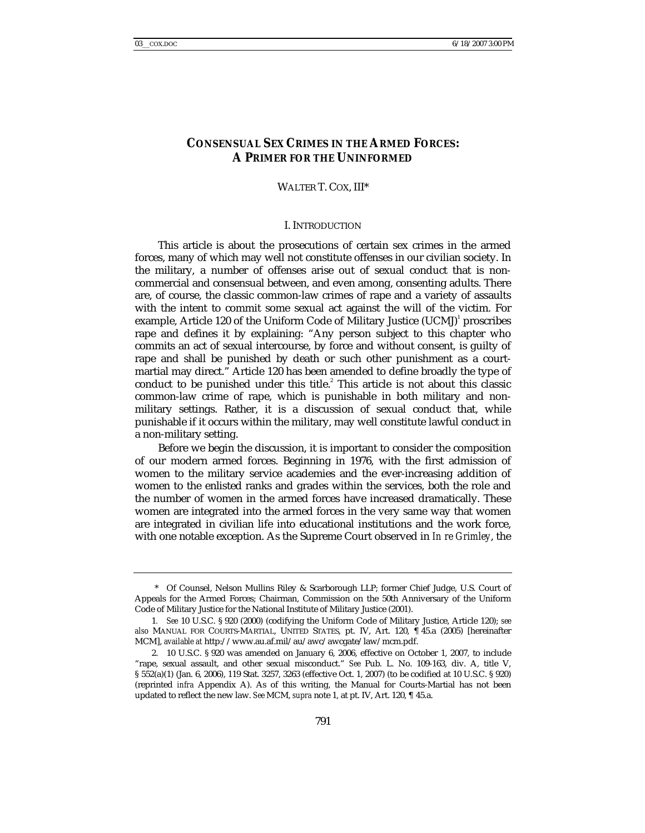# **CONSENSUAL SEX CRIMES IN THE ARMED FORCES: A PRIMER FOR THE UNINFORMED**

### WALTER T. COX, III\*

## I. INTRODUCTION

This article is about the prosecutions of certain sex crimes in the armed forces, many of which may well not constitute offenses in our civilian society. In the military, a number of offenses arise out of sexual conduct that is noncommercial and consensual between, and even among, consenting adults. There are, of course, the classic common-law crimes of rape and a variety of assaults with the intent to commit some sexual act against the will of the victim. For example, Article 120 of the Uniform Code of Military Justice  $(UCMI)^1$  proscribes rape and defines it by explaining: "Any person subject to this chapter who commits an act of sexual intercourse, by force and without consent, is guilty of rape and shall be punished by death or such other punishment as a courtmartial may direct." Article 120 has been amended to define broadly the type of conduct to be punished under this title. $^2$  This article is not about this classic common-law crime of rape, which is punishable in both military and nonmilitary settings. Rather, it is a discussion of sexual conduct that, while punishable if it occurs within the military, may well constitute lawful conduct in a non-military setting.

Before we begin the discussion, it is important to consider the composition of our modern armed forces. Beginning in 1976, with the first admission of women to the military service academies and the ever-increasing addition of women to the enlisted ranks and grades within the services, both the role and the number of women in the armed forces have increased dramatically. These women are integrated into the armed forces in the very same way that women are integrated in civilian life into educational institutions and the work force, with one notable exception. As the Supreme Court observed in *In re Grimley*, the

 <sup>\*</sup> Of Counsel, Nelson Mullins Riley & Scarborough LLP; former Chief Judge, U.S. Court of Appeals for the Armed Forces; Chairman, Commission on the 50th Anniversary of the Uniform Code of Military Justice for the National Institute of Military Justice (2001).

<sup>1</sup>*. See* 10 U.S.C. § 920 (2000) (codifying the Uniform Code of Military Justice, Article 120); *see also* MANUAL FOR COURTS-MARTIAL, UNITED STATES, pt. IV, Art. 120, ¶ 45.a (2005) [hereinafter MCM], *available at* http://www.au.af.mil/au/awc/awcgate/law/mcm.pdf.

 <sup>2. 10</sup> U.S.C. § 920 was amended on January 6, 2006, effective on October 1, 2007, to include "rape, sexual assault, and other sexual misconduct." *See* Pub. L. No. 109-163, div. A, title V, § 552(a)(1) (Jan. 6, 2006), 119 Stat. 3257, 3263 (effective Oct. 1, 2007) (to be codified at 10 U.S.C. § 920) (reprinted *infra* Appendix A). As of this writing, the Manual for Courts-Martial has not been updated to reflect the new law. *See* MCM, *supra* note 1, at pt. IV, Art. 120, ¶ 45.a.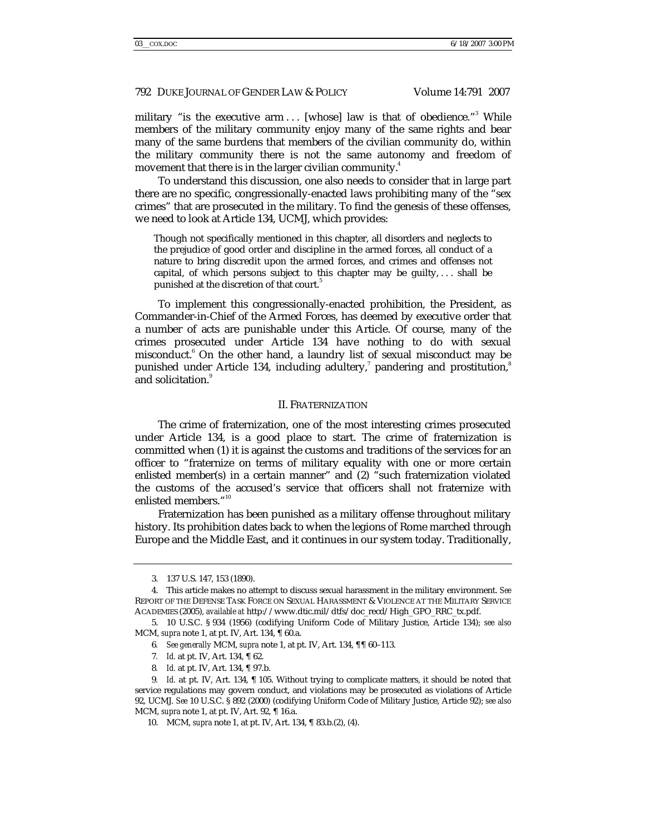military "is the executive arm ... [whose] law is that of obedience."<sup>3</sup> While members of the military community enjoy many of the same rights and bear many of the same burdens that members of the civilian community do, within the military community there is not the same autonomy and freedom of movement that there is in the larger civilian community.<sup>4</sup>

To understand this discussion, one also needs to consider that in large part there are no specific, congressionally-enacted laws prohibiting many of the "sex crimes" that are prosecuted in the military. To find the genesis of these offenses, we need to look at Article 134, UCMJ, which provides:

Though not specifically mentioned in this chapter, all disorders and neglects to the prejudice of good order and discipline in the armed forces, all conduct of a nature to bring discredit upon the armed forces, and crimes and offenses not capital, of which persons subject to this chapter may be guilty, ... shall be punished at the discretion of that court.<sup>5</sup>

To implement this congressionally-enacted prohibition, the President, as Commander-in-Chief of the Armed Forces, has deemed by executive order that a number of acts are punishable under this Article. Of course, many of the crimes prosecuted under Article 134 have nothing to do with sexual misconduct.<sup>6</sup> On the other hand, a laundry list of sexual misconduct may be punished under Article 134, including adultery, $^7$  pandering and prostitution, $^8$ and solicitation.<sup>9</sup>

#### II. FRATERNIZATION

The crime of fraternization, one of the most interesting crimes prosecuted under Article 134, is a good place to start. The crime of fraternization is committed when (1) it is against the customs and traditions of the services for an officer to "fraternize on terms of military equality with one or more certain enlisted member(s) in a certain manner" and (2) "such fraternization violated the customs of the accused's service that officers shall not fraternize with enlisted members."<sup>10</sup>

Fraternization has been punished as a military offense throughout military history. Its prohibition dates back to when the legions of Rome marched through Europe and the Middle East, and it continues in our system today. Traditionally,

 <sup>3. 137</sup> U.S. 147, 153 (1890).

 <sup>4.</sup> This article makes no attempt to discuss sexual harassment in the military environment. *See* REPORT OF THE DEFENSE TASK FORCE ON SEXUAL HARASSMENT & VIOLENCE AT THE MILITARY SERVICE ACADEMIES (2005), *available at* http://www.dtic.mil/dtfs/doc\_recd/High\_GPO\_RRC\_tx.pdf.

 <sup>5. 10</sup> U.S.C. § 934 (1956) (codifying Uniform Code of Military Justice, Article 134); *see also* MCM, *supra* note 1, at pt. IV, Art. 134, ¶ 60.a.

<sup>6</sup>*. See generally* MCM, *supra* note 1, at pt. IV, Art. 134, ¶¶ 60–113.

<sup>7</sup>*. Id.* at pt. IV, Art. 134, ¶ 62.

<sup>8</sup>*. Id.* at pt. IV, Art. 134, ¶ 97.b.

<sup>9</sup>*. Id.* at pt. IV, Art. 134, ¶ 105. Without trying to complicate matters, it should be noted that service regulations may govern conduct, and violations may be prosecuted as violations of Article 92, UCMJ. *See* 10 U.S.C. § 892 (2000) (codifying Uniform Code of Military Justice, Article 92); *see also* MCM, *supra* note 1, at pt. IV, Art. 92, ¶ 16.a.

 <sup>10.</sup> MCM, *supra* note 1, at pt. IV, Art. 134, ¶ 83.b.(2), (4).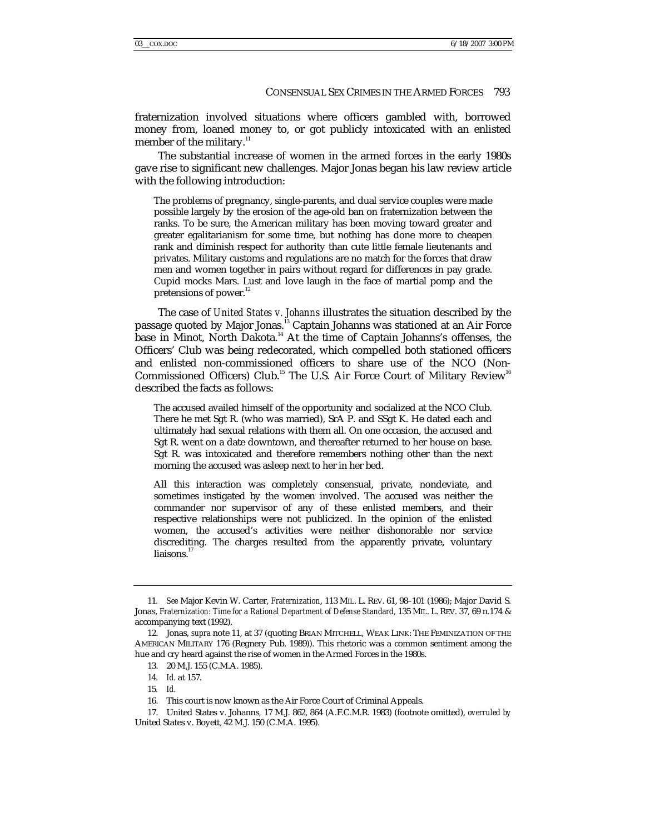fraternization involved situations where officers gambled with, borrowed money from, loaned money to, or got publicly intoxicated with an enlisted member of the military.<sup>11</sup>

The substantial increase of women in the armed forces in the early 1980s gave rise to significant new challenges. Major Jonas began his law review article with the following introduction:

The problems of pregnancy, single-parents, and dual service couples were made possible largely by the erosion of the age-old ban on fraternization between the ranks. To be sure, the American military has been moving toward greater and greater egalitarianism for some time, but nothing has done more to cheapen rank and diminish respect for authority than cute little female lieutenants and privates. Military customs and regulations are no match for the forces that draw men and women together in pairs without regard for differences in pay grade. Cupid mocks Mars. Lust and love laugh in the face of martial pomp and the pretensions of power.<sup>12</sup>

The case of *United States v. Johanns* illustrates the situation described by the passage quoted by Major Jonas.<sup>13</sup> Captain Johanns was stationed at an Air Force base in Minot, North Dakota.<sup>14</sup> At the time of Captain Johanns's offenses, the Officers' Club was being redecorated, which compelled both stationed officers and enlisted non-commissioned officers to share use of the NCO (Non-Commissioned Officers) Club.<sup>15</sup> The U.S. Air Force Court of Military Review<sup>16</sup> described the facts as follows:

The accused availed himself of the opportunity and socialized at the NCO Club. There he met Sgt R. (who was married), SrA P. and SSgt K. He dated each and ultimately had sexual relations with them all. On one occasion, the accused and Sgt R. went on a date downtown, and thereafter returned to her house on base. Sgt R. was intoxicated and therefore remembers nothing other than the next morning the accused was asleep next to her in her bed.

All this interaction was completely consensual, private, nondeviate, and sometimes instigated by the women involved. The accused was neither the commander nor supervisor of any of these enlisted members, and their respective relationships were not publicized. In the opinion of the enlisted women, the accused's activities were neither dishonorable nor service discrediting. The charges resulted from the apparently private, voluntary liaisons.<sup>17</sup>

<sup>11</sup>*. See* Major Kevin W. Carter, *Fraternization*, 113 MIL. L. REV. 61, 98–101 (1986); Major David S. Jonas, *Fraternization: Time for a Rational Department of Defense Standard*, 135 MIL. L. REV. 37, 69 n.174 & accompanying text (1992).

 <sup>12.</sup> Jonas, *supra* note 11, at 37 (quoting BRIAN MITCHELL, WEAK LINK: THE FEMINIZATION OF THE AMERICAN MILITARY 176 (Regnery Pub. 1989)). This rhetoric was a common sentiment among the hue and cry heard against the rise of women in the Armed Forces in the 1980s.

 <sup>13. 20</sup> M.J. 155 (C.M.A. 1985).

<sup>14</sup>*. Id.* at 157.

<sup>15</sup>*. Id.*

 <sup>16.</sup> This court is now known as the Air Force Court of Criminal Appeals.

 <sup>17.</sup> United States v. Johanns*,* 17 M.J. 862, 864 (A.F.C.M.R. 1983) (footnote omitted), *overruled by* United States v. Boyett, 42 M.J. 150 (C.M.A. 1995).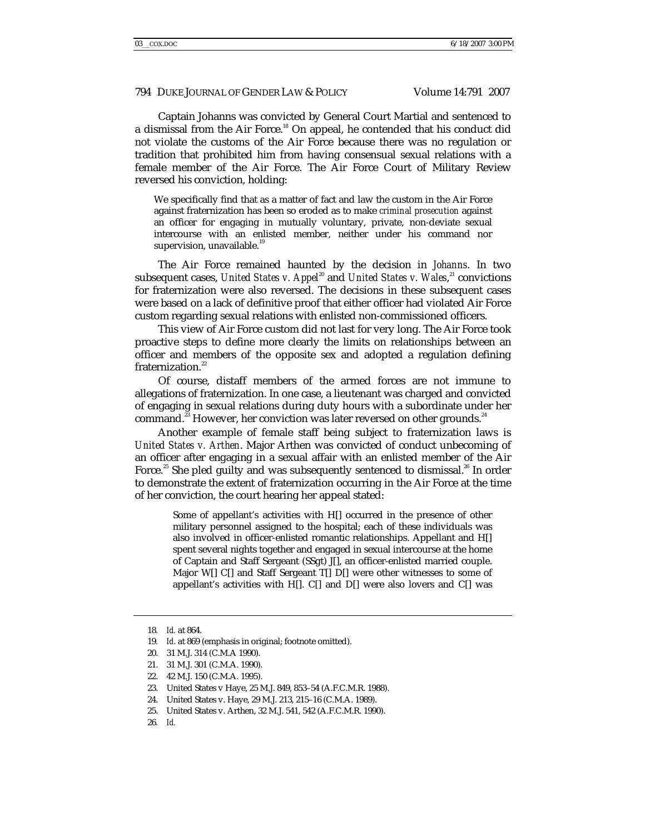Captain Johanns was convicted by General Court Martial and sentenced to a dismissal from the Air Force.18 On appeal, he contended that his conduct did not violate the customs of the Air Force because there was no regulation or tradition that prohibited him from having consensual sexual relations with a female member of the Air Force. The Air Force Court of Military Review reversed his conviction, holding:

We specifically find that as a matter of fact and law the custom in the Air Force against fraternization has been so eroded as to make *criminal prosecution* against an officer for engaging in mutually voluntary, private, non-deviate sexual intercourse with an enlisted member, neither under his command nor supervision, unavailable.<sup>19</sup>

The Air Force remained haunted by the decision in *Johanns*. In two subsequent cases, *United States v. Appel<sup>e®</sup> and United States v. Wales*,<sup>21</sup> convictions for fraternization were also reversed. The decisions in these subsequent cases were based on a lack of definitive proof that either officer had violated Air Force custom regarding sexual relations with enlisted non-commissioned officers.

This view of Air Force custom did not last for very long. The Air Force took proactive steps to define more clearly the limits on relationships between an officer and members of the opposite sex and adopted a regulation defining fraternization. $22$ 

Of course, distaff members of the armed forces are not immune to allegations of fraternization. In one case, a lieutenant was charged and convicted of engaging in sexual relations during duty hours with a subordinate under her command.<sup>23</sup> However, her conviction was later reversed on other grounds.<sup>24</sup>

Another example of female staff being subject to fraternization laws is *United States v. Arthen*. Major Arthen was convicted of conduct unbecoming of an officer after engaging in a sexual affair with an enlisted member of the Air Force.<sup>25</sup> She pled guilty and was subsequently sentenced to dismissal.<sup>26</sup> In order to demonstrate the extent of fraternization occurring in the Air Force at the time of her conviction, the court hearing her appeal stated:

Some of appellant's activities with H[] occurred in the presence of other military personnel assigned to the hospital; each of these individuals was also involved in officer-enlisted romantic relationships. Appellant and H[] spent several nights together and engaged in sexual intercourse at the home of Captain and Staff Sergeant (SSgt) J[], an officer-enlisted married couple. Major W[] C[] and Staff Sergeant T[] D[] were other witnesses to some of appellant's activities with H[]. C[] and D[] were also lovers and C[] was

22. 42 M.J. 150 (C.M.A. 1995).

26*. Id.*

<sup>18</sup>*. Id.* at 864.

<sup>19</sup>*. Id*. at 869 (emphasis in original; footnote omitted).

 <sup>20. 31</sup> M.J. 314 (C.M.A 1990).

 <sup>21. 31</sup> M.J. 301 (C.M.A. 1990).

 <sup>23.</sup> United States v Haye, 25 M.J. 849, 853–54 (A.F.C.M.R. 1988).

 <sup>24.</sup> United States v. Haye, 29 M.J. 213, 215–16 (C.M.A. 1989).

 <sup>25.</sup> United States v. Arthen, 32 M.J. 541, 542 (A.F.C.M.R. 1990).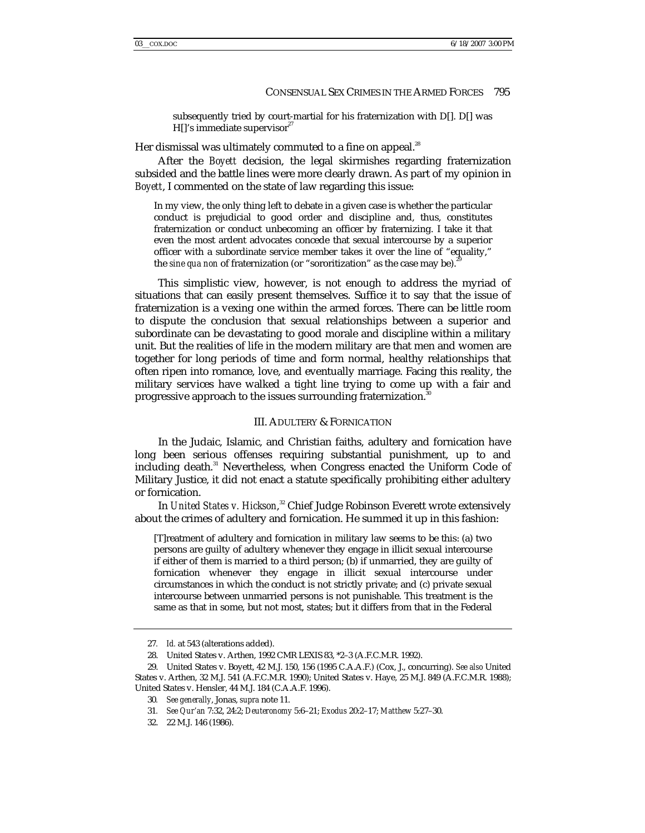subsequently tried by court-martial for his fraternization with D[]. D[] was H[]'s immediate supervisor $27$ 

Her dismissal was ultimately commuted to a fine on appeal.<sup>28</sup>

After the *Boyett* decision, the legal skirmishes regarding fraternization subsided and the battle lines were more clearly drawn. As part of my opinion in *Boyett*, I commented on the state of law regarding this issue:

In my view, the only thing left to debate in a given case is whether the particular conduct is prejudicial to good order and discipline and, thus, constitutes fraternization or conduct unbecoming an officer by fraternizing. I take it that even the most ardent advocates concede that sexual intercourse by a superior officer with a subordinate service member takes it over the line of "equality," the *sine qua non* of fraternization (or "sororitization" as the case may be).<sup>2</sup>

This simplistic view, however, is not enough to address the myriad of situations that can easily present themselves. Suffice it to say that the issue of fraternization is a vexing one within the armed forces. There can be little room to dispute the conclusion that sexual relationships between a superior and subordinate can be devastating to good morale and discipline within a military unit. But the realities of life in the modern military are that men and women are together for long periods of time and form normal, healthy relationships that often ripen into romance, love, and eventually marriage. Facing this reality, the military services have walked a tight line trying to come up with a fair and progressive approach to the issues surrounding fraternization.<sup>30</sup>

#### III. ADULTERY & FORNICATION

In the Judaic, Islamic, and Christian faiths, adultery and fornication have long been serious offenses requiring substantial punishment, up to and including death.<sup>31</sup> Nevertheless, when Congress enacted the Uniform Code of Military Justice, it did not enact a statute specifically prohibiting either adultery or fornication.

In *United States v. Hickson*, <sup>32</sup> Chief Judge Robinson Everett wrote extensively about the crimes of adultery and fornication. He summed it up in this fashion:

[T]reatment of adultery and fornication in military law seems to be this: (a) two persons are guilty of adultery whenever they engage in illicit sexual intercourse if either of them is married to a third person; (b) if unmarried, they are guilty of fornication whenever they engage in illicit sexual intercourse under circumstances in which the conduct is not strictly private; and (c) private sexual intercourse between unmarried persons is not punishable. This treatment is the same as that in some, but not most, states; but it differs from that in the Federal

<sup>27</sup>*. Id.* at 543 (alterations added).

 <sup>28.</sup> United States v. Arthen, 1992 CMR LEXIS 83, \*2–3 (A.F.C.M.R. 1992).

 <sup>29.</sup> United States v. Boyett, 42 M.J. 150, 156 (1995 C.A.A.F.) (Cox, J., concurring). *See also* United States v. Arthen, 32 M.J. 541 (A.F.C.M.R. 1990); United States v. Haye, 25 M.J. 849 (A.F.C.M.R. 1988); United States v. Hensler, 44 M.J. 184 (C.A.A.F. 1996).

<sup>30</sup>*. See generally*, Jonas, *supra* note 11.

<sup>31</sup>*. See Qur'an* 7:32, 24:2; *Deuteronomy* 5:6–21; *Exodus* 20:2–17; *Matthew* 5:27–30.

 <sup>32. 22</sup> M.J. 146 (1986).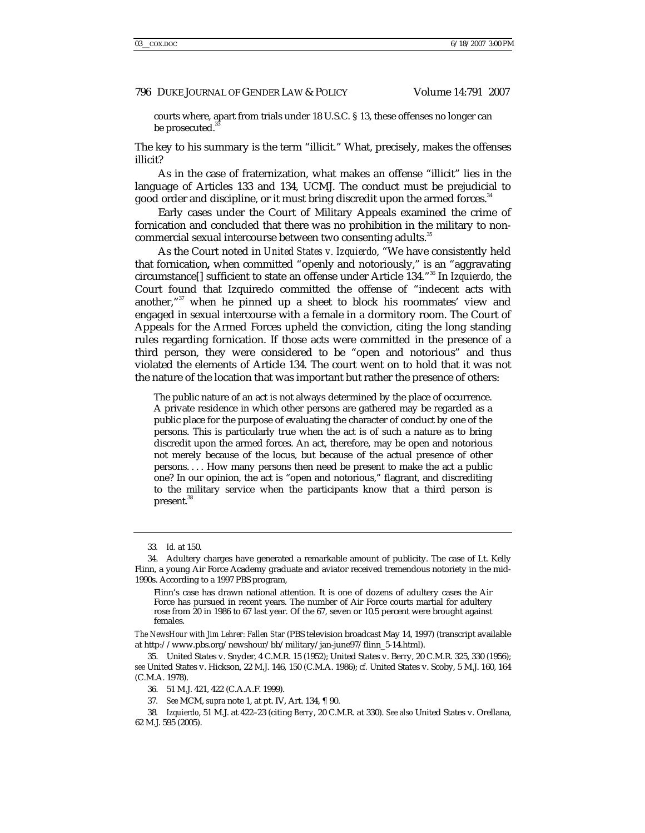courts where, apart from trials under 18 U.S.C. § 13, these offenses no longer can be prosecuted.

The key to his summary is the term "illicit." What, precisely, makes the offenses illicit?

As in the case of fraternization, what makes an offense "illicit" lies in the language of Articles 133 and 134, UCMJ. The conduct must be prejudicial to good order and discipline, or it must bring discredit upon the armed forces.<sup>34</sup>

Early cases under the Court of Military Appeals examined the crime of fornication and concluded that there was no prohibition in the military to noncommercial sexual intercourse between two consenting adults.<sup>35</sup>

As the Court noted in *United States v. Izquierdo*, "We have consistently held that fornication**,** when committed "openly and notoriously," is an "aggravating circumstance[] sufficient to state an offense under Article 134."36 In *Izquierdo*, the Court found that Izquiredo committed the offense of "indecent acts with another," $37$  when he pinned up a sheet to block his roommates' view and engaged in sexual intercourse with a female in a dormitory room. The Court of Appeals for the Armed Forces upheld the conviction, citing the long standing rules regarding fornication. If those acts were committed in the presence of a third person, they were considered to be "open and notorious" and thus violated the elements of Article 134. The court went on to hold that it was not the nature of the location that was important but rather the presence of others:

The public nature of an act is not always determined by the place of occurrence. A private residence in which other persons are gathered may be regarded as a public place for the purpose of evaluating the character of conduct by one of the persons. This is particularly true when the act is of such a nature as to bring discredit upon the armed forces. An act, therefore, may be open and notorious not merely because of the locus, but because of the actual presence of other persons. . . . How many persons then need be present to make the act a public one? In our opinion, the act is "open and notorious," flagrant, and discrediting to the military service when the participants know that a third person is present.<sup>38</sup>

<sup>33</sup>*. Id.* at 150.

 <sup>34.</sup> Adultery charges have generated a remarkable amount of publicity. The case of Lt. Kelly Flinn, a young Air Force Academy graduate and aviator received tremendous notoriety in the mid-1990s. According to a 1997 PBS program,

Flinn's case has drawn national attention. It is one of dozens of adultery cases the Air Force has pursued in recent years. The number of Air Force courts martial for adultery rose from 20 in 1986 to 67 last year. Of the 67, seven or 10.5 percent were brought against females.

*The NewsHour with Jim Lehrer: Fallen Star* (PBS television broadcast May 14, 1997) (transcript available at http://www.pbs.org/newshour/bb/military/jan-june97/flinn\_5-14.html).

 <sup>35.</sup> United States v. Snyder, 4 C.M.R. 15 (1952); United States v. Berry, 20 C.M.R. 325, 330 (1956); *see* United States v. Hickson, 22 M.J. 146, 150 (C.M.A. 1986); *cf.* United States v. Scoby, 5 M.J. 160, 164 (C.M.A. 1978).

 <sup>36. 51</sup> M.J. 421, 422 (C.A.A.F. 1999).

<sup>37</sup>*. See* MCM, *supra* note 1, at pt. IV, Art. 134, ¶ 90.

<sup>38</sup>*. Izquierdo*, 51 M.J. at 422–23 (citing *Berry*, 20 C.M.R. at 330). *See also* United States v. Orellana, 62 M.J. 595 (2005).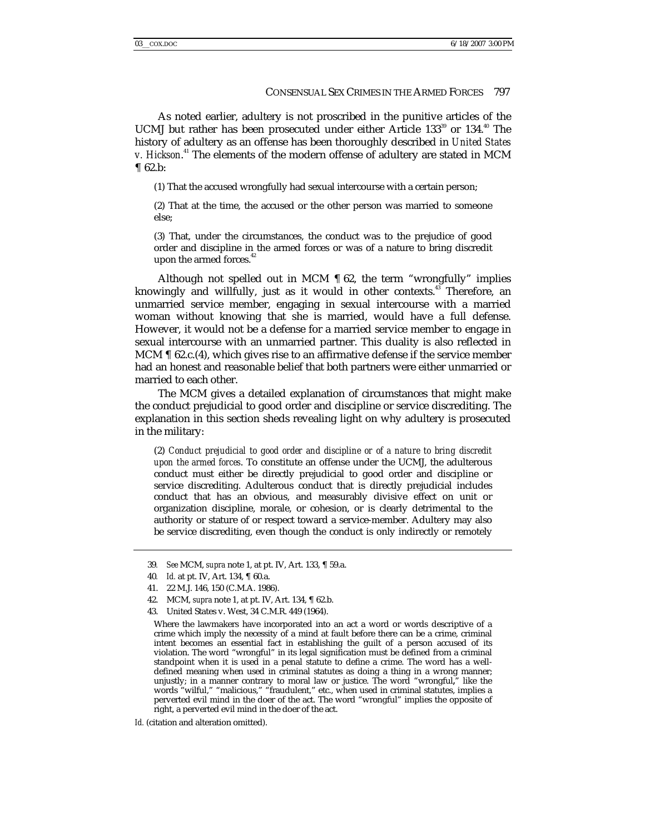As noted earlier, adultery is not proscribed in the punitive articles of the UCMJ but rather has been prosecuted under either Article  $133^{39}$  or  $134^{40}$  The history of adultery as an offense has been thoroughly described in *United States v. Hickson*. 41 The elements of the modern offense of adultery are stated in MCM ¶ 62.b:

(1) That the accused wrongfully had sexual intercourse with a certain person;

(2) That at the time, the accused or the other person was married to someone else;

(3) That, under the circumstances, the conduct was to the prejudice of good order and discipline in the armed forces or was of a nature to bring discredit upon the armed forces.<sup>42</sup>

Although not spelled out in MCM ¶ 62, the term "wrongfully" implies knowingly and willfully, just as it would in other contexts.<sup>43</sup> Therefore, an unmarried service member, engaging in sexual intercourse with a married woman without knowing that she is married, would have a full defense. However, it would not be a defense for a married service member to engage in sexual intercourse with an unmarried partner. This duality is also reflected in MCM ¶ 62.c.(4), which gives rise to an affirmative defense if the service member had an honest and reasonable belief that both partners were either unmarried or married to each other.

The MCM gives a detailed explanation of circumstances that might make the conduct prejudicial to good order and discipline or service discrediting. The explanation in this section sheds revealing light on why adultery is prosecuted in the military:

(2) *Conduct prejudicial to good order and discipline or of a nature to bring discredit upon the armed forces*. To constitute an offense under the UCMJ, the adulterous conduct must either be directly prejudicial to good order and discipline or service discrediting. Adulterous conduct that is directly prejudicial includes conduct that has an obvious, and measurably divisive effect on unit or organization discipline, morale, or cohesion, or is clearly detrimental to the authority or stature of or respect toward a service-member. Adultery may also be service discrediting, even though the conduct is only indirectly or remotely

*Id.* (citation and alteration omitted).

<sup>39</sup>*. See* MCM, *supra* note 1, at pt. IV, Art. 133, ¶ 59.a.

<sup>40</sup>*. Id.* at pt. IV, Art. 134, ¶ 60.a.

 <sup>41. 22</sup> M.J. 146, 150 (C.M.A. 1986).

 <sup>42.</sup> MCM, *supra* note 1, at pt. IV, Art. 134, ¶ 62.b.

 <sup>43.</sup> United States v. West, 34 C.M.R. 449 (1964).

Where the lawmakers have incorporated into an act a word or words descriptive of a crime which imply the necessity of a mind at fault before there can be a crime, criminal intent becomes an essential fact in establishing the guilt of a person accused of its violation. The word "wrongful" in its legal signification must be defined from a criminal standpoint when it is used in a penal statute to define a crime. The word has a welldefined meaning when used in criminal statutes as doing a thing in a wrong manner; unjustly; in a manner contrary to moral law or justice. The word "wrongful**,**" like the words "wilful," "malicious," "fraudulent," etc., when used in criminal statutes, implies a perverted evil mind in the doer of the act. The word "wrongful" implies the opposite of right, a perverted evil mind in the doer of the act.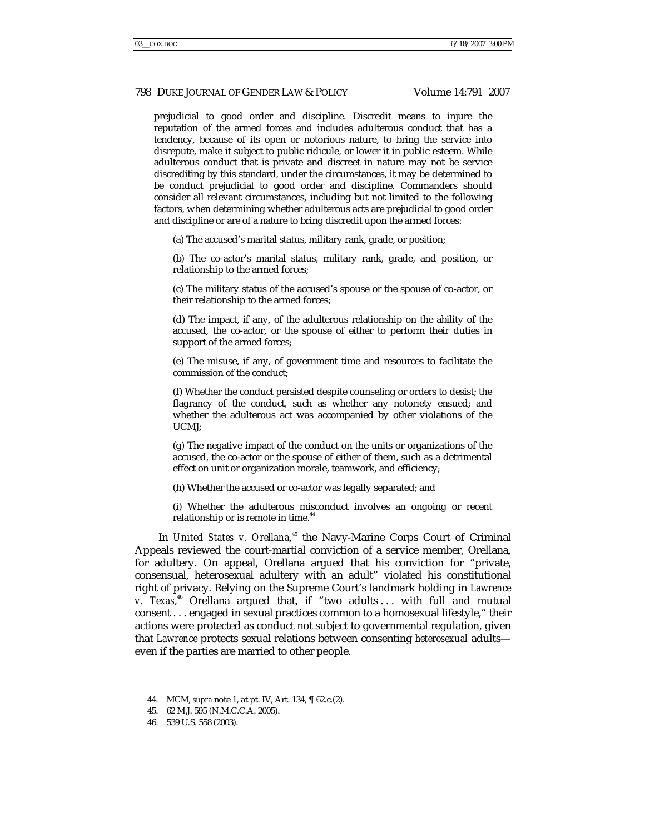prejudicial to good order and discipline. Discredit means to injure the reputation of the armed forces and includes adulterous conduct that has a tendency, because of its open or notorious nature, to bring the service into disrepute, make it subject to public ridicule, or lower it in public esteem. While adulterous conduct that is private and discreet in nature may not be service discrediting by this standard, under the circumstances, it may be determined to be conduct prejudicial to good order and discipline. Commanders should consider all relevant circumstances, including but not limited to the following factors, when determining whether adulterous acts are prejudicial to good order and discipline or are of a nature to bring discredit upon the armed forces:

(a) The accused's marital status, military rank, grade, or position;

(b) The co-actor's marital status, military rank, grade, and position, or relationship to the armed forces;

(c) The military status of the accused's spouse or the spouse of co-actor, or their relationship to the armed forces;

(d) The impact, if any, of the adulterous relationship on the ability of the accused, the co-actor, or the spouse of either to perform their duties in support of the armed forces;

(e) The misuse, if any, of government time and resources to facilitate the commission of the conduct;

(f) Whether the conduct persisted despite counseling or orders to desist; the flagrancy of the conduct, such as whether any notoriety ensued; and whether the adulterous act was accompanied by other violations of the UCMJ;

(g) The negative impact of the conduct on the units or organizations of the accused, the co-actor or the spouse of either of them, such as a detrimental effect on unit or organization morale, teamwork, and efficiency;

(h) Whether the accused or co-actor was legally separated; and

(i) Whether the adulterous misconduct involves an ongoing or recent relationship or is remote in time.<sup>44</sup>

In *United States v. Orellana*,<sup>45</sup> the Navy-Marine Corps Court of Criminal Appeals reviewed the court-martial conviction of a service member, Orellana, for adultery. On appeal, Orellana argued that his conviction for "private, consensual, heterosexual adultery with an adult" violated his constitutional right of privacy. Relying on the Supreme Court's landmark holding in *Lawrence*  v. Texas,<sup>46</sup> Orellana argued that, if "two adults ... with full and mutual consent . . . engaged in sexual practices common to a homosexual lifestyle," their actions were protected as conduct not subject to governmental regulation, given that *Lawrence* protects sexual relations between consenting *heterosexual* adults even if the parties are married to other people.

 <sup>44.</sup> MCM, *supra* note 1, at pt. IV, Art. 134, ¶ 62.c.(2).

 <sup>45. 62</sup> M.J. 595 (N.M.C.C.A. 2005).

 <sup>46. 539</sup> U.S. 558 (2003).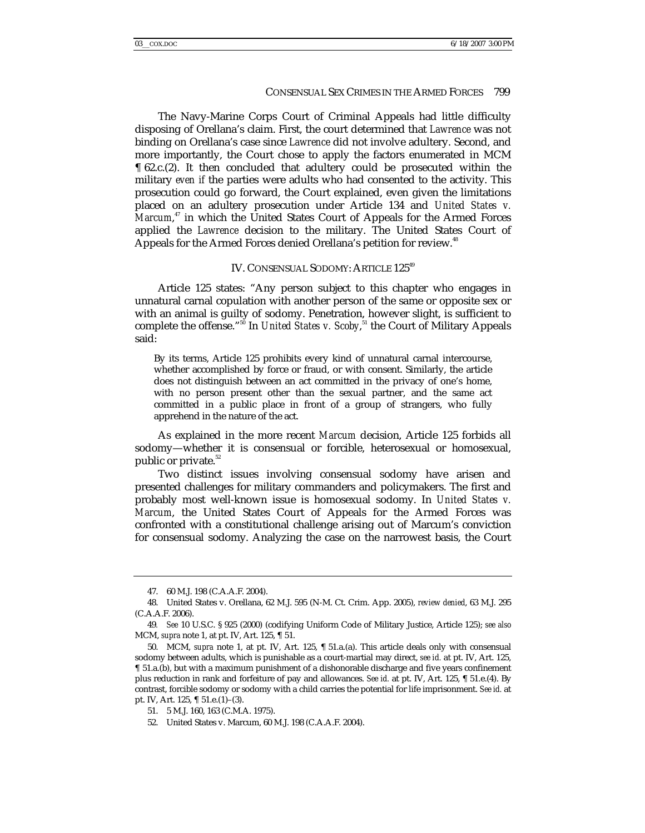The Navy-Marine Corps Court of Criminal Appeals had little difficulty disposing of Orellana's claim. First, the court determined that *Lawrence* was not binding on Orellana's case since *Lawrence* did not involve adultery. Second, and more importantly, the Court chose to apply the factors enumerated in MCM ¶ 62.c.(2). It then concluded that adultery could be prosecuted within the military *even if* the parties were adults who had consented to the activity. This prosecution could go forward, the Court explained, even given the limitations placed on an adultery prosecution under Article 134 and *United States v.*  Marcum,<sup>47</sup> in which the United States Court of Appeals for the Armed Forces applied the *Lawrence* decision to the military. The United States Court of Appeals for the Armed Forces denied Orellana's petition for review.<sup>48</sup>

## IV. CONSENSUAL SODOMY: ARTICLE 125<sup>49</sup>

Article 125 states: "Any person subject to this chapter who engages in unnatural carnal copulation with another person of the same or opposite sex or with an animal is guilty of sodomy. Penetration, however slight, is sufficient to complete the offense."50 In *United States v. Scoby*, 51 the Court of Military Appeals said:

By its terms, Article 125 prohibits every kind of unnatural carnal intercourse, whether accomplished by force or fraud, or with consent. Similarly, the article does not distinguish between an act committed in the privacy of one's home, with no person present other than the sexual partner, and the same act committed in a public place in front of a group of strangers, who fully apprehend in the nature of the act.

As explained in the more recent *Marcum* decision, Article 125 forbids all sodomy—whether it is consensual or forcible, heterosexual or homosexual, public or private.<sup>52</sup>

Two distinct issues involving consensual sodomy have arisen and presented challenges for military commanders and policymakers. The first and probably most well-known issue is homosexual sodomy. In *United States v. Marcum*, the United States Court of Appeals for the Armed Forces was confronted with a constitutional challenge arising out of Marcum's conviction for consensual sodomy. Analyzing the case on the narrowest basis, the Court

 <sup>47. 60</sup> M.J. 198 (C.A.A.F. 2004).

 <sup>48.</sup> United States v. Orellana, 62 M.J. 595 (N-M. Ct. Crim. App. 2005), *review denied*, 63 M.J. 295 (C.A.A.F. 2006).

<sup>49</sup>*. See* 10 U.S.C. § 925 (2000) (codifying Uniform Code of Military Justice, Article 125); *see also* MCM, *supra* note 1, at pt. IV, Art. 125, ¶ 51.

 <sup>50.</sup> MCM, *supra* note 1, at pt. IV, Art. 125, ¶ 51.a.(a). This article deals only with consensual sodomy between adults, which is punishable as a court-martial may direct, *see id.* at pt. IV, Art. 125, ¶ 51.a.(b), but with a maximum punishment of a dishonorable discharge and five years confinement plus reduction in rank and forfeiture of pay and allowances. *See id.* at pt. IV, Art. 125, ¶ 51.e.(4). By contrast, forcible sodomy or sodomy with a child carries the potential for life imprisonment. *See id.* at pt. IV, Art. 125, ¶ 51.e.(1)–(3).

 <sup>51. 5</sup> M.J. 160, 163 (C.M.A. 1975).

 <sup>52.</sup> United States v. Marcum, 60 M.J. 198 (C.A.A.F. 2004).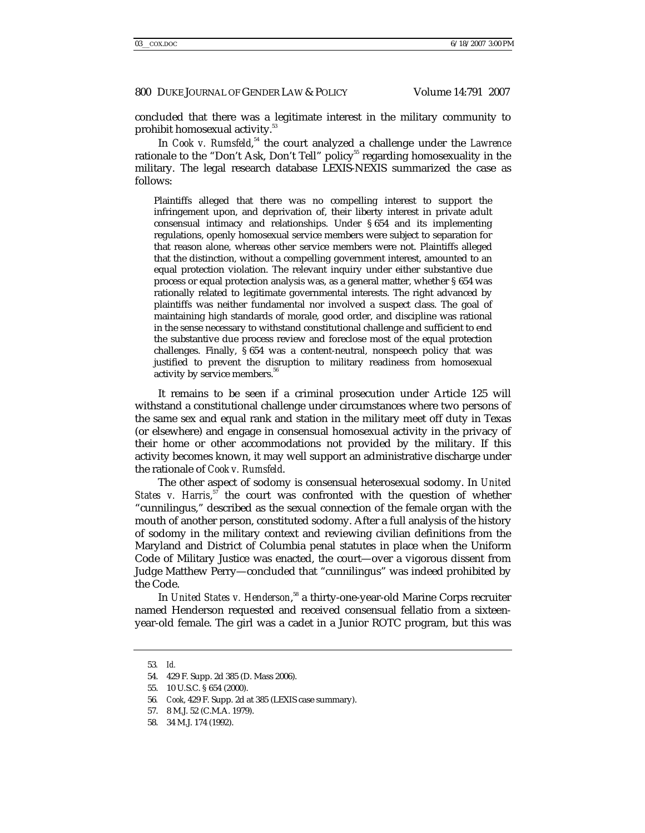concluded that there was a legitimate interest in the military community to prohibit homosexual activity.<sup>53</sup>

In *Cook v. Rumsfeld*,<sup>54</sup> the court analyzed a challenge under the *Lawrence* rationale to the "Don't Ask, Don't Tell" policy<sup>55</sup> regarding homosexuality in the military. The legal research database LEXIS-NEXIS summarized the case as follows:

Plaintiffs alleged that there was no compelling interest to support the infringement upon, and deprivation of, their liberty interest in private adult consensual intimacy and relationships. Under § 654 and its implementing regulations, openly homosexual service members were subject to separation for that reason alone, whereas other service members were not. Plaintiffs alleged that the distinction, without a compelling government interest, amounted to an equal protection violation. The relevant inquiry under either substantive due process or equal protection analysis was, as a general matter, whether § 654 was rationally related to legitimate governmental interests. The right advanced by plaintiffs was neither fundamental nor involved a suspect class. The goal of maintaining high standards of morale, good order, and discipline was rational in the sense necessary to withstand constitutional challenge and sufficient to end the substantive due process review and foreclose most of the equal protection challenges. Finally, § 654 was a content-neutral, nonspeech policy that was justified to prevent the disruption to military readiness from homosexual activity by service members.<sup>36</sup>

It remains to be seen if a criminal prosecution under Article 125 will withstand a constitutional challenge under circumstances where two persons of the same sex and equal rank and station in the military meet off duty in Texas (or elsewhere) and engage in consensual homosexual activity in the privacy of their home or other accommodations not provided by the military. If this activity becomes known, it may well support an administrative discharge under the rationale of *Cook v. Rumsfeld*.

The other aspect of sodomy is consensual heterosexual sodomy. In *United*  States v. Harris,<sup>57</sup> the court was confronted with the question of whether "cunnilingus," described as the sexual connection of the female organ with the mouth of another person, constituted sodomy. After a full analysis of the history of sodomy in the military context and reviewing civilian definitions from the Maryland and District of Columbia penal statutes in place when the Uniform Code of Military Justice was enacted, the court—over a vigorous dissent from Judge Matthew Perry—concluded that "cunnilingus" was indeed prohibited by the Code.

In *United States v. Henderson*, 58 a thirty-one-year-old Marine Corps recruiter named Henderson requested and received consensual fellatio from a sixteenyear-old female. The girl was a cadet in a Junior ROTC program, but this was

<sup>53</sup>*. Id.*

 <sup>54. 429</sup> F. Supp. 2d 385 (D. Mass 2006).

 <sup>55. 10</sup> U.S.C. § 654 (2000).

<sup>56</sup>*. Cook*, 429 F. Supp. 2d at 385 (LEXIS case summary).

 <sup>57. 8</sup> M.J. 52 (C.M.A. 1979).

 <sup>58. 34</sup> M.J. 174 (1992).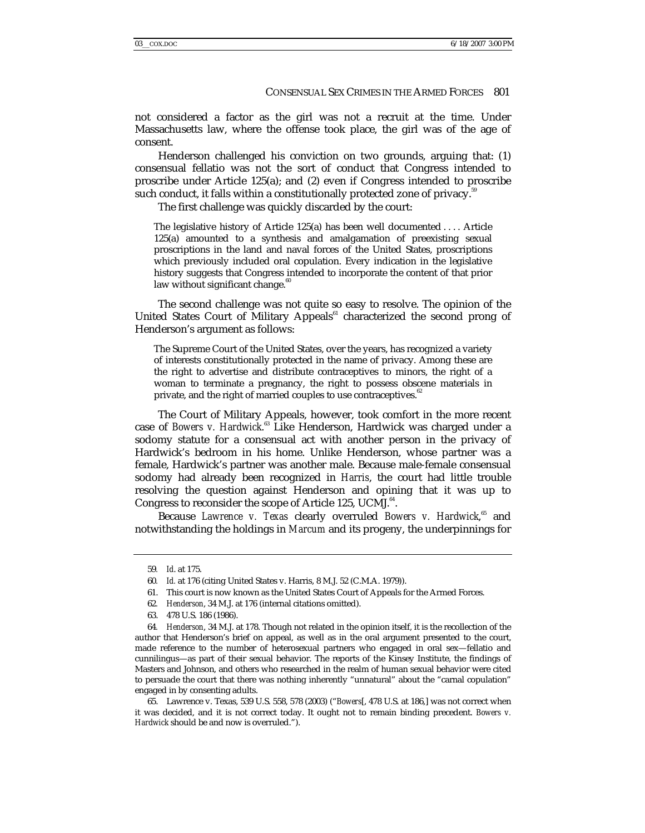not considered a factor as the girl was not a recruit at the time. Under Massachusetts law, where the offense took place, the girl was of the age of consent.

Henderson challenged his conviction on two grounds, arguing that: (1) consensual fellatio was not the sort of conduct that Congress intended to proscribe under Article 125(a); and (2) even if Congress intended to proscribe such conduct, it falls within a constitutionally protected zone of privacy.<sup>39</sup>

The first challenge was quickly discarded by the court:

The legislative history of Article 125(a) has been well documented . . . . Article 125(a) amounted to a synthesis and amalgamation of preexisting sexual proscriptions in the land and naval forces of the United States, proscriptions which previously included oral copulation. Every indication in the legislative history suggests that Congress intended to incorporate the content of that prior law without significant change. $60$ 

The second challenge was not quite so easy to resolve. The opinion of the United States Court of Military Appeals<sup>61</sup> characterized the second prong of Henderson's argument as follows:

The Supreme Court of the United States, over the years, has recognized a variety of interests constitutionally protected in the name of privacy. Among these are the right to advertise and distribute contraceptives to minors, the right of a woman to terminate a pregnancy, the right to possess obscene materials in private, and the right of married couples to use contraceptives.<sup>62</sup>

The Court of Military Appeals, however, took comfort in the more recent case of *Bowers v. Hardwick*. 63 Like Henderson, Hardwick was charged under a sodomy statute for a consensual act with another person in the privacy of Hardwick's bedroom in his home. Unlike Henderson, whose partner was a female, Hardwick's partner was another male. Because male-female consensual sodomy had already been recognized in *Harris*, the court had little trouble resolving the question against Henderson and opining that it was up to Congress to reconsider the scope of Article 125, UCMJ.<sup>64</sup>.

Because *Lawrence v. Texas* clearly overruled *Bowers v. Hardwick*, 65 and notwithstanding the holdings in *Marcum* and its progeny, the underpinnings for

 65. Lawrence v. Texas, 539 U.S. 558, 578 (2003) ("*Bowers*[, 478 U.S. at 186,] was not correct when it was decided, and it is not correct today. It ought not to remain binding precedent. *Bowers v. Hardwick* should be and now is overruled.").

<sup>59</sup>*. Id*. at 175.

<sup>60</sup>*. Id.* at 176 (citing United States v. Harris, 8 M.J. 52 (C.M.A. 1979)).

 <sup>61.</sup> This court is now known as the United States Court of Appeals for the Armed Forces.

<sup>62</sup>*. Henderson*, 34 M.J. at 176 (internal citations omitted).

 <sup>63. 478</sup> U.S. 186 (1986).

<sup>64</sup>*. Henderson*, 34 M.J. at 178. Though not related in the opinion itself, it is the recollection of the author that Henderson's brief on appeal, as well as in the oral argument presented to the court, made reference to the number of heterosexual partners who engaged in oral sex—fellatio and cunnilingus—as part of their sexual behavior. The reports of the Kinsey Institute, the findings of Masters and Johnson, and others who researched in the realm of human sexual behavior were cited to persuade the court that there was nothing inherently "unnatural" about the "carnal copulation" engaged in by consenting adults.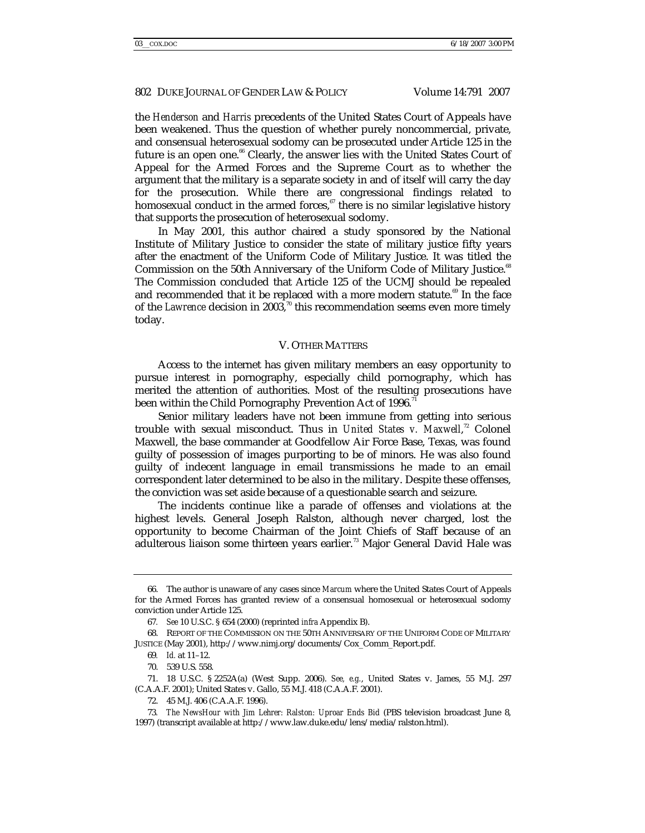the *Henderson* and *Harris* precedents of the United States Court of Appeals have been weakened. Thus the question of whether purely noncommercial, private, and consensual heterosexual sodomy can be prosecuted under Article 125 in the future is an open one.<sup>66</sup> Clearly, the answer lies with the United States Court of Appeal for the Armed Forces and the Supreme Court as to whether the argument that the military is a separate society in and of itself will carry the day for the prosecution. While there are congressional findings related to homosexual conduct in the armed forces, $\overset{\circ}{\ }$  there is no similar legislative history that supports the prosecution of heterosexual sodomy.

In May 2001, this author chaired a study sponsored by the National Institute of Military Justice to consider the state of military justice fifty years after the enactment of the Uniform Code of Military Justice. It was titled the Commission on the 50th Anniversary of the Uniform Code of Military Justice.<sup>68</sup> The Commission concluded that Article 125 of the UCMJ should be repealed and recommended that it be replaced with a more modern statute.<sup>69</sup> In the face of the *Lawrence* decision in 2003, $\frac{7}{0}$  this recommendation seems even more timely today.

#### V. OTHER MATTERS

Access to the internet has given military members an easy opportunity to pursue interest in pornography, especially child pornography, which has merited the attention of authorities. Most of the resulting prosecutions have been within the Child Pornography Prevention Act of 1996.<sup>11</sup>

Senior military leaders have not been immune from getting into serious trouble with sexual misconduct. Thus in *United States v. Maxwell*, 72 Colonel Maxwell, the base commander at Goodfellow Air Force Base, Texas, was found guilty of possession of images purporting to be of minors. He was also found guilty of indecent language in email transmissions he made to an email correspondent later determined to be also in the military. Despite these offenses, the conviction was set aside because of a questionable search and seizure.

The incidents continue like a parade of offenses and violations at the highest levels. General Joseph Ralston, although never charged, lost the opportunity to become Chairman of the Joint Chiefs of Staff because of an adulterous liaison some thirteen years earlier.<sup>73</sup> Major General David Hale was

 <sup>66.</sup> The author is unaware of any cases since *Marcum* where the United States Court of Appeals for the Armed Forces has granted review of a consensual homosexual or heterosexual sodomy conviction under Article 125.

<sup>67</sup>*. See* 10 U.S.C. § 654 (2000) (reprinted *infra* Appendix B).

 <sup>68.</sup> REPORT OF THE COMMISSION ON THE 50TH ANNIVERSARY OF THE UNIFORM CODE OF MILITARY JUSTICE (May 2001), http://www.nimj.org/documents/Cox\_Comm\_Report.pdf.

<sup>69</sup>*. Id.* at 11–12.

 <sup>70. 539</sup> U.S. 558.

 <sup>71. 18</sup> U.S.C. § 2252A(a) (West Supp. 2006). *See, e.g.*, United States v. James, 55 M.J. 297 (C.A.A.F. 2001); United States v. Gallo, 55 M.J. 418 (C.A.A.F. 2001).

 <sup>72. 45</sup> M.J. 406 (C.A.A.F. 1996).

<sup>73</sup>*. The NewsHour with Jim Lehrer: Ralston: Uproar Ends Bid* (PBS television broadcast June 8, 1997) (transcript available at http://www.law.duke.edu/lens/media/ralston.html).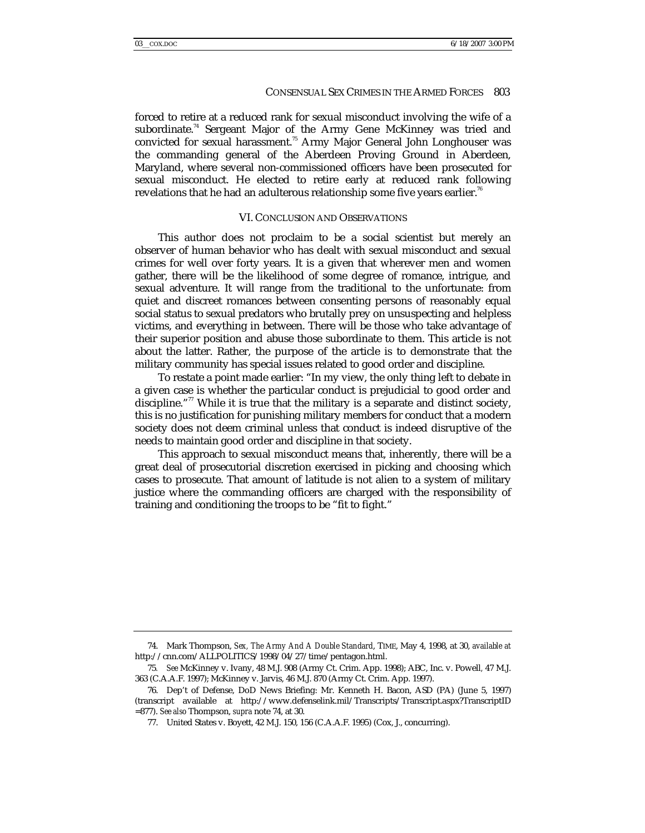forced to retire at a reduced rank for sexual misconduct involving the wife of a subordinate.<sup>74</sup> Sergeant Major of the Army Gene McKinney was tried and convicted for sexual harassment.<sup>75</sup> Army Major General John Longhouser was the commanding general of the Aberdeen Proving Ground in Aberdeen, Maryland, where several non-commissioned officers have been prosecuted for sexual misconduct. He elected to retire early at reduced rank following revelations that he had an adulterous relationship some five years earlier. $^{^{76}}$ 

#### VI. CONCLUSION AND OBSERVATIONS

This author does not proclaim to be a social scientist but merely an observer of human behavior who has dealt with sexual misconduct and sexual crimes for well over forty years. It is a given that wherever men and women gather, there will be the likelihood of some degree of romance, intrigue, and sexual adventure. It will range from the traditional to the unfortunate: from quiet and discreet romances between consenting persons of reasonably equal social status to sexual predators who brutally prey on unsuspecting and helpless victims, and everything in between. There will be those who take advantage of their superior position and abuse those subordinate to them. This article is not about the latter. Rather, the purpose of the article is to demonstrate that the military community has special issues related to good order and discipline.

To restate a point made earlier: "In my view, the only thing left to debate in a given case is whether the particular conduct is prejudicial to good order and discipline."<sup>77</sup> While it is true that the military is a separate and distinct society, this is no justification for punishing military members for conduct that a modern society does not deem criminal unless that conduct is indeed disruptive of the needs to maintain good order and discipline in that society.

This approach to sexual misconduct means that, inherently, there will be a great deal of prosecutorial discretion exercised in picking and choosing which cases to prosecute. That amount of latitude is not alien to a system of military justice where the commanding officers are charged with the responsibility of training and conditioning the troops to be "fit to fight."

 <sup>74.</sup> Mark Thompson, *Sex, The Army And A Double Standard*, TIME, May 4, 1998, at 30, *available at* http://cnn.com/ALLPOLITICS/1998/04/27/time/pentagon.html.

<sup>75</sup>*. See* McKinney v. Ivany, 48 M.J. 908 (Army Ct. Crim. App. 1998); ABC, Inc. v. Powell*,* 47 M.J. 363 (C.A.A.F. 1997); McKinney v. Jarvis, 46 M.J. 870 (Army Ct. Crim. App. 1997).

 <sup>76.</sup> Dep't of Defense, DoD News Briefing: Mr. Kenneth H. Bacon, ASD (PA) (June 5, 1997) (transcript available at http://www.defenselink.mil/Transcripts/Transcript.aspx?TranscriptID =877). *See also* Thompson, *supra* note 74, at 30.

 <sup>77.</sup> United States v. Boyett, 42 M.J. 150, 156 (C.A.A.F. 1995) (Cox, J., concurring).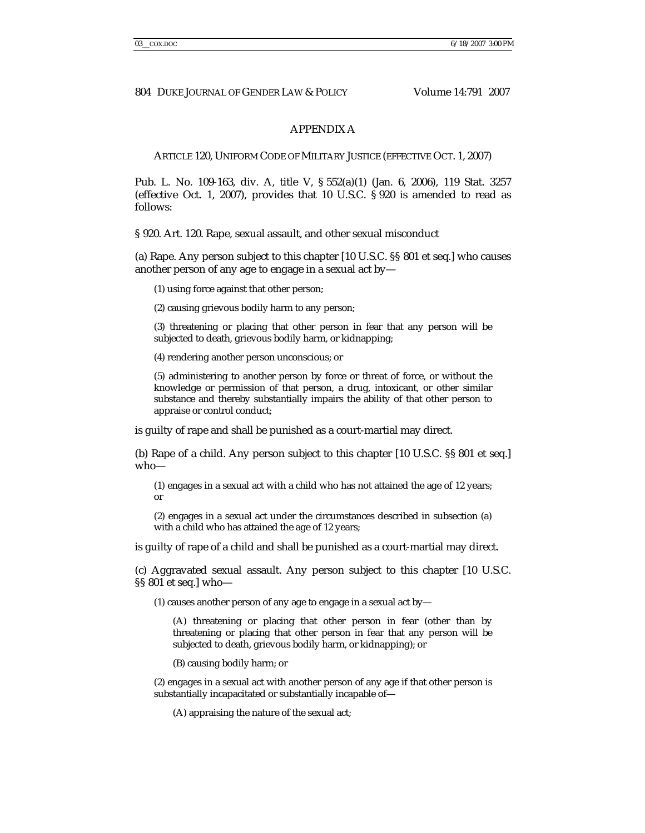## APPENDIX A

ARTICLE 120, UNIFORM CODE OF MILITARY JUSTICE (EFFECTIVE OCT. 1, 2007)

Pub. L. No. 109-163, div. A, title V, § 552(a)(1) (Jan. 6, 2006), 119 Stat. 3257 (effective Oct. 1, 2007), provides that 10 U.S.C. § 920 is amended to read as follows:

§ 920. Art. 120. Rape, sexual assault, and other sexual misconduct

(a) Rape. Any person subject to this chapter [10 U.S.C. §§ 801 et seq.] who causes another person of any age to engage in a sexual act by—

(1) using force against that other person;

(2) causing grievous bodily harm to any person;

(3) threatening or placing that other person in fear that any person will be subjected to death, grievous bodily harm, or kidnapping;

(4) rendering another person unconscious; or

(5) administering to another person by force or threat of force, or without the knowledge or permission of that person, a drug, intoxicant, or other similar substance and thereby substantially impairs the ability of that other person to appraise or control conduct;

is guilty of rape and shall be punished as a court-martial may direct.

(b) Rape of a child. Any person subject to this chapter [10 U.S.C. §§ 801 et seq.] who—

(1) engages in a sexual act with a child who has not attained the age of 12 years; or

(2) engages in a sexual act under the circumstances described in subsection (a) with a child who has attained the age of 12 years;

is guilty of rape of a child and shall be punished as a court-martial may direct.

(c) Aggravated sexual assault. Any person subject to this chapter [10 U.S.C. §§ 801 et seq.] who—

(1) causes another person of any age to engage in a sexual act by—

(A) threatening or placing that other person in fear (other than by threatening or placing that other person in fear that any person will be subjected to death, grievous bodily harm, or kidnapping); or

(B) causing bodily harm; or

(2) engages in a sexual act with another person of any age if that other person is substantially incapacitated or substantially incapable of—

(A) appraising the nature of the sexual act;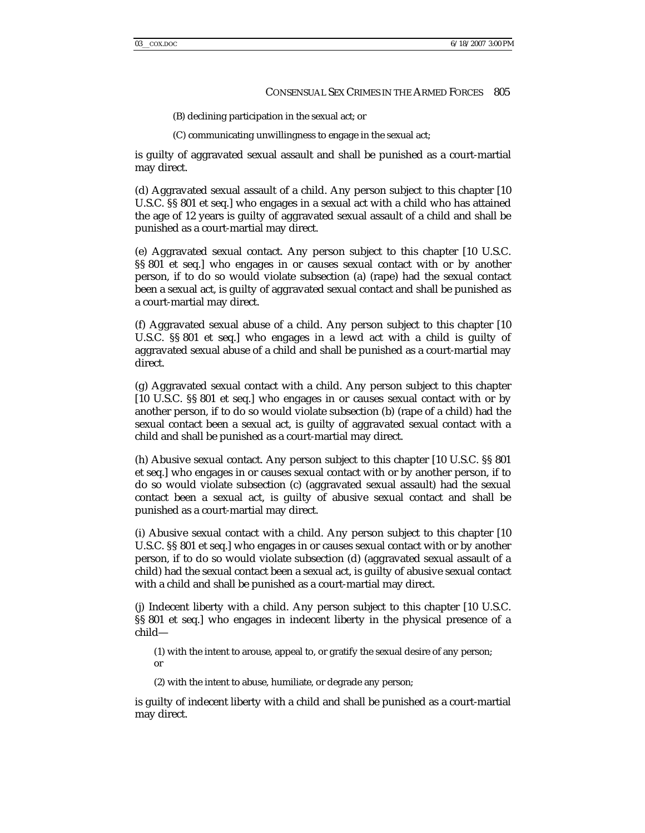(B) declining participation in the sexual act; or

(C) communicating unwillingness to engage in the sexual act;

is guilty of aggravated sexual assault and shall be punished as a court-martial may direct.

(d) Aggravated sexual assault of a child. Any person subject to this chapter [10 U.S.C. §§ 801 et seq.] who engages in a sexual act with a child who has attained the age of 12 years is guilty of aggravated sexual assault of a child and shall be punished as a court-martial may direct.

(e) Aggravated sexual contact. Any person subject to this chapter [10 U.S.C. §§ 801 et seq.] who engages in or causes sexual contact with or by another person, if to do so would violate subsection (a) (rape) had the sexual contact been a sexual act, is guilty of aggravated sexual contact and shall be punished as a court-martial may direct.

(f) Aggravated sexual abuse of a child. Any person subject to this chapter [10 U.S.C. §§ 801 et seq.] who engages in a lewd act with a child is guilty of aggravated sexual abuse of a child and shall be punished as a court-martial may direct.

(g) Aggravated sexual contact with a child. Any person subject to this chapter [10 U.S.C. §§ 801 et seq.] who engages in or causes sexual contact with or by another person, if to do so would violate subsection (b) (rape of a child) had the sexual contact been a sexual act, is guilty of aggravated sexual contact with a child and shall be punished as a court-martial may direct.

(h) Abusive sexual contact. Any person subject to this chapter [10 U.S.C. §§ 801 et seq.] who engages in or causes sexual contact with or by another person, if to do so would violate subsection (c) (aggravated sexual assault) had the sexual contact been a sexual act, is guilty of abusive sexual contact and shall be punished as a court-martial may direct.

(i) Abusive sexual contact with a child. Any person subject to this chapter [10 U.S.C. §§ 801 et seq.] who engages in or causes sexual contact with or by another person, if to do so would violate subsection (d) (aggravated sexual assault of a child) had the sexual contact been a sexual act, is guilty of abusive sexual contact with a child and shall be punished as a court-martial may direct.

(j) Indecent liberty with a child. Any person subject to this chapter [10 U.S.C. §§ 801 et seq.] who engages in indecent liberty in the physical presence of a child—

(1) with the intent to arouse, appeal to, or gratify the sexual desire of any person; or

(2) with the intent to abuse, humiliate, or degrade any person;

is guilty of indecent liberty with a child and shall be punished as a court-martial may direct.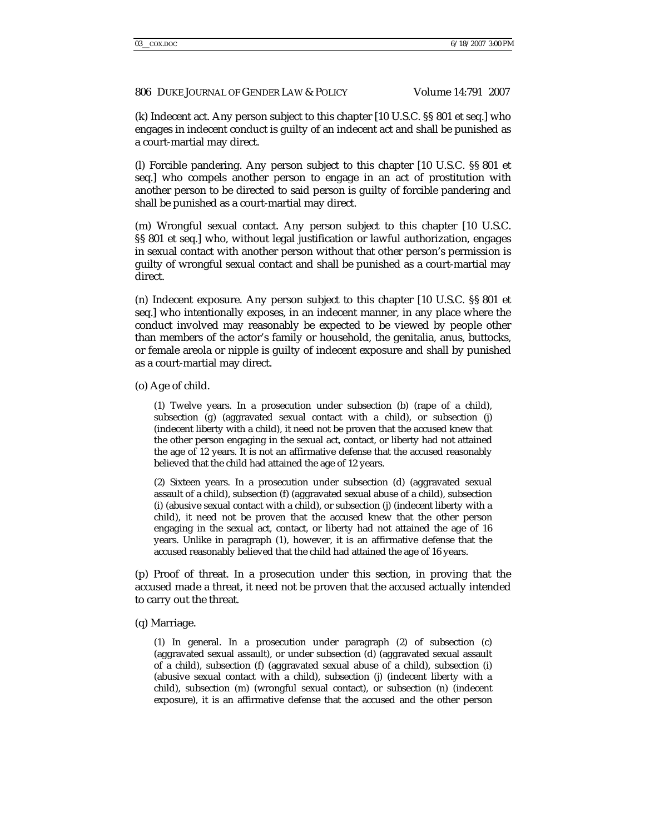(k) Indecent act. Any person subject to this chapter [10 U.S.C. §§ 801 et seq.] who engages in indecent conduct is guilty of an indecent act and shall be punished as a court-martial may direct.

(l) Forcible pandering. Any person subject to this chapter [10 U.S.C. §§ 801 et seq.] who compels another person to engage in an act of prostitution with another person to be directed to said person is guilty of forcible pandering and shall be punished as a court-martial may direct.

(m) Wrongful sexual contact. Any person subject to this chapter [10 U.S.C. §§ 801 et seq.] who, without legal justification or lawful authorization, engages in sexual contact with another person without that other person's permission is guilty of wrongful sexual contact and shall be punished as a court-martial may direct.

(n) Indecent exposure. Any person subject to this chapter [10 U.S.C. §§ 801 et seq.] who intentionally exposes, in an indecent manner, in any place where the conduct involved may reasonably be expected to be viewed by people other than members of the actor's family or household, the genitalia, anus, buttocks, or female areola or nipple is guilty of indecent exposure and shall by punished as a court-martial may direct.

(o) Age of child.

(1) Twelve years. In a prosecution under subsection (b) (rape of a child), subsection (g) (aggravated sexual contact with a child), or subsection (j) (indecent liberty with a child), it need not be proven that the accused knew that the other person engaging in the sexual act, contact, or liberty had not attained the age of 12 years. It is not an affirmative defense that the accused reasonably believed that the child had attained the age of 12 years.

(2) Sixteen years. In a prosecution under subsection (d) (aggravated sexual assault of a child), subsection (f) (aggravated sexual abuse of a child), subsection (i) (abusive sexual contact with a child), or subsection (j) (indecent liberty with a child), it need not be proven that the accused knew that the other person engaging in the sexual act, contact, or liberty had not attained the age of 16 years. Unlike in paragraph (1), however, it is an affirmative defense that the accused reasonably believed that the child had attained the age of 16 years.

(p) Proof of threat. In a prosecution under this section, in proving that the accused made a threat, it need not be proven that the accused actually intended to carry out the threat.

#### (q) Marriage.

(1) In general. In a prosecution under paragraph (2) of subsection (c) (aggravated sexual assault), or under subsection (d) (aggravated sexual assault of a child), subsection (f) (aggravated sexual abuse of a child), subsection (i) (abusive sexual contact with a child), subsection (j) (indecent liberty with a child), subsection (m) (wrongful sexual contact), or subsection (n) (indecent exposure), it is an affirmative defense that the accused and the other person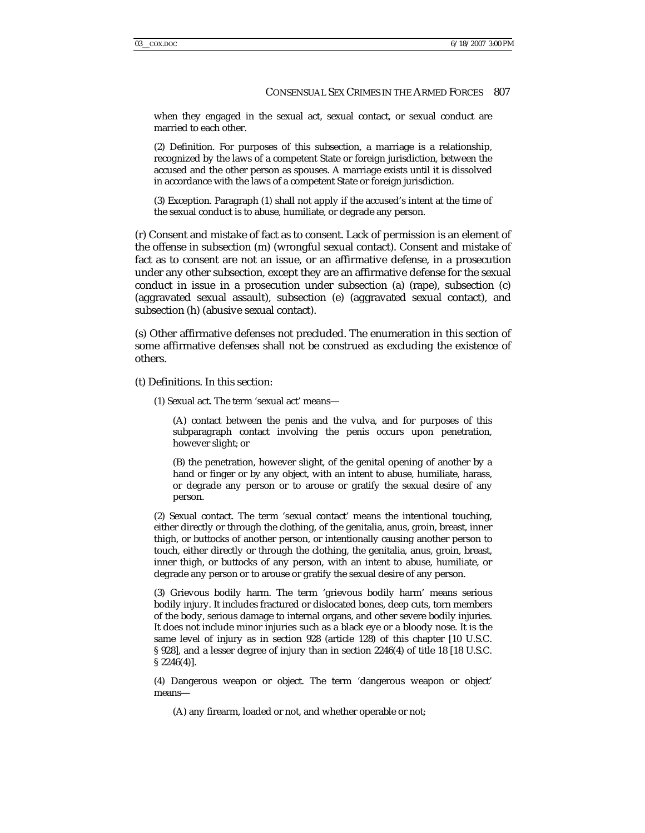when they engaged in the sexual act, sexual contact, or sexual conduct are married to each other.

(2) Definition. For purposes of this subsection, a marriage is a relationship, recognized by the laws of a competent State or foreign jurisdiction, between the accused and the other person as spouses. A marriage exists until it is dissolved in accordance with the laws of a competent State or foreign jurisdiction.

(3) Exception. Paragraph (1) shall not apply if the accused's intent at the time of the sexual conduct is to abuse, humiliate, or degrade any person.

(r) Consent and mistake of fact as to consent. Lack of permission is an element of the offense in subsection (m) (wrongful sexual contact). Consent and mistake of fact as to consent are not an issue, or an affirmative defense, in a prosecution under any other subsection, except they are an affirmative defense for the sexual conduct in issue in a prosecution under subsection (a) (rape), subsection (c) (aggravated sexual assault), subsection (e) (aggravated sexual contact), and subsection (h) (abusive sexual contact).

(s) Other affirmative defenses not precluded. The enumeration in this section of some affirmative defenses shall not be construed as excluding the existence of others.

(t) Definitions. In this section:

(1) Sexual act. The term 'sexual act' means—

(A) contact between the penis and the vulva, and for purposes of this subparagraph contact involving the penis occurs upon penetration, however slight; or

(B) the penetration, however slight, of the genital opening of another by a hand or finger or by any object, with an intent to abuse, humiliate, harass, or degrade any person or to arouse or gratify the sexual desire of any person.

(2) Sexual contact. The term 'sexual contact' means the intentional touching, either directly or through the clothing, of the genitalia, anus, groin, breast, inner thigh, or buttocks of another person, or intentionally causing another person to touch, either directly or through the clothing, the genitalia, anus, groin, breast, inner thigh, or buttocks of any person, with an intent to abuse, humiliate, or degrade any person or to arouse or gratify the sexual desire of any person.

(3) Grievous bodily harm. The term 'grievous bodily harm' means serious bodily injury. It includes fractured or dislocated bones, deep cuts, torn members of the body, serious damage to internal organs, and other severe bodily injuries. It does not include minor injuries such as a black eye or a bloody nose. It is the same level of injury as in section 928 (article 128) of this chapter [10 U.S.C. § 928], and a lesser degree of injury than in section 2246(4) of title 18 [18 U.S.C.  $\S 2246(4)$ .

(4) Dangerous weapon or object. The term 'dangerous weapon or object' means—

(A) any firearm, loaded or not, and whether operable or not;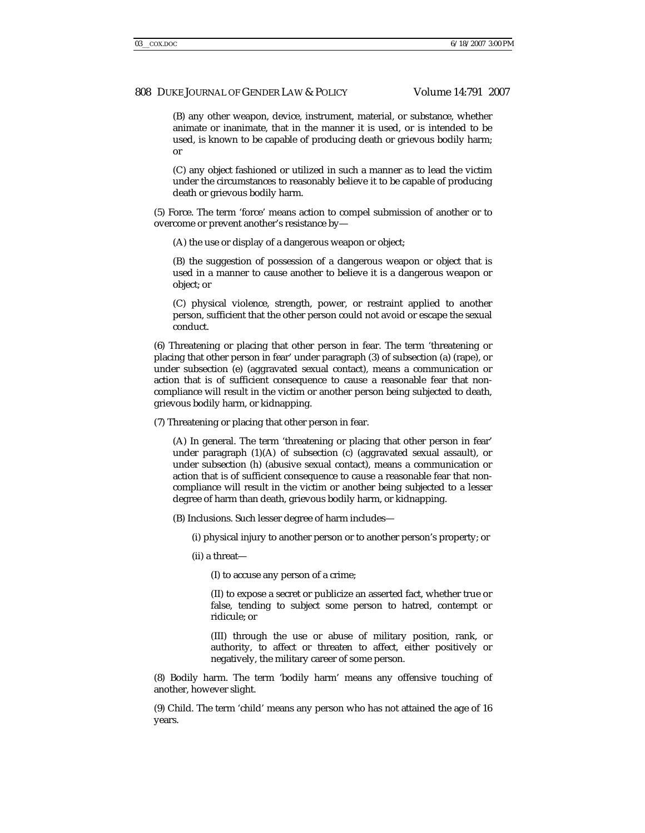(B) any other weapon, device, instrument, material, or substance, whether animate or inanimate, that in the manner it is used, or is intended to be used, is known to be capable of producing death or grievous bodily harm; or

(C) any object fashioned or utilized in such a manner as to lead the victim under the circumstances to reasonably believe it to be capable of producing death or grievous bodily harm.

(5) Force. The term 'force' means action to compel submission of another or to overcome or prevent another's resistance by—

(A) the use or display of a dangerous weapon or object;

(B) the suggestion of possession of a dangerous weapon or object that is used in a manner to cause another to believe it is a dangerous weapon or object; or

(C) physical violence, strength, power, or restraint applied to another person, sufficient that the other person could not avoid or escape the sexual conduct.

(6) Threatening or placing that other person in fear. The term 'threatening or placing that other person in fear' under paragraph (3) of subsection (a) (rape), or under subsection (e) (aggravated sexual contact), means a communication or action that is of sufficient consequence to cause a reasonable fear that noncompliance will result in the victim or another person being subjected to death, grievous bodily harm, or kidnapping.

(7) Threatening or placing that other person in fear.

(A) In general. The term 'threatening or placing that other person in fear' under paragraph (1)(A) of subsection (c) (aggravated sexual assault), or under subsection (h) (abusive sexual contact), means a communication or action that is of sufficient consequence to cause a reasonable fear that noncompliance will result in the victim or another being subjected to a lesser degree of harm than death, grievous bodily harm, or kidnapping.

(B) Inclusions. Such lesser degree of harm includes—

(i) physical injury to another person or to another person's property; or

(ii) a threat—

(I) to accuse any person of a crime;

(II) to expose a secret or publicize an asserted fact, whether true or false, tending to subject some person to hatred, contempt or ridicule; or

(III) through the use or abuse of military position, rank, or authority, to affect or threaten to affect, either positively or negatively, the military career of some person.

(8) Bodily harm. The term 'bodily harm' means any offensive touching of another, however slight.

(9) Child. The term 'child' means any person who has not attained the age of 16 years.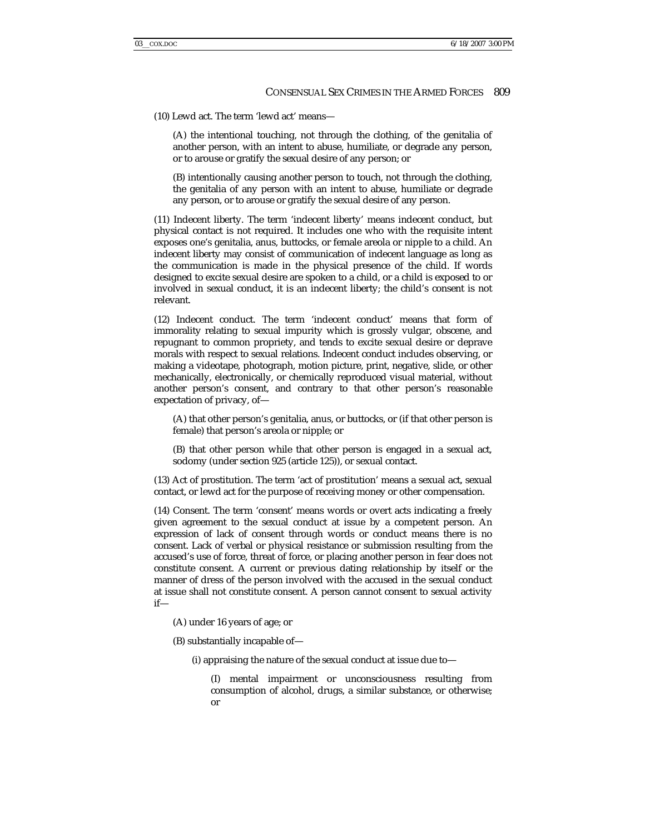(10) Lewd act. The term 'lewd act' means—

(A) the intentional touching, not through the clothing, of the genitalia of another person, with an intent to abuse, humiliate, or degrade any person, or to arouse or gratify the sexual desire of any person; or

(B) intentionally causing another person to touch, not through the clothing, the genitalia of any person with an intent to abuse, humiliate or degrade any person, or to arouse or gratify the sexual desire of any person.

(11) Indecent liberty. The term 'indecent liberty' means indecent conduct, but physical contact is not required. It includes one who with the requisite intent exposes one's genitalia, anus, buttocks, or female areola or nipple to a child. An indecent liberty may consist of communication of indecent language as long as the communication is made in the physical presence of the child. If words designed to excite sexual desire are spoken to a child, or a child is exposed to or involved in sexual conduct, it is an indecent liberty; the child's consent is not relevant.

(12) Indecent conduct. The term 'indecent conduct' means that form of immorality relating to sexual impurity which is grossly vulgar, obscene, and repugnant to common propriety, and tends to excite sexual desire or deprave morals with respect to sexual relations. Indecent conduct includes observing, or making a videotape, photograph, motion picture, print, negative, slide, or other mechanically, electronically, or chemically reproduced visual material, without another person's consent, and contrary to that other person's reasonable expectation of privacy, of—

(A) that other person's genitalia, anus, or buttocks, or (if that other person is female) that person's areola or nipple; or

(B) that other person while that other person is engaged in a sexual act, sodomy (under section 925 (article 125)), or sexual contact.

(13) Act of prostitution. The term 'act of prostitution' means a sexual act, sexual contact, or lewd act for the purpose of receiving money or other compensation.

(14) Consent. The term 'consent' means words or overt acts indicating a freely given agreement to the sexual conduct at issue by a competent person. An expression of lack of consent through words or conduct means there is no consent. Lack of verbal or physical resistance or submission resulting from the accused's use of force, threat of force, or placing another person in fear does not constitute consent. A current or previous dating relationship by itself or the manner of dress of the person involved with the accused in the sexual conduct at issue shall not constitute consent. A person cannot consent to sexual activity if—

(A) under 16 years of age; or

(B) substantially incapable of—

(i) appraising the nature of the sexual conduct at issue due to—

(I) mental impairment or unconsciousness resulting from consumption of alcohol, drugs, a similar substance, or otherwise; or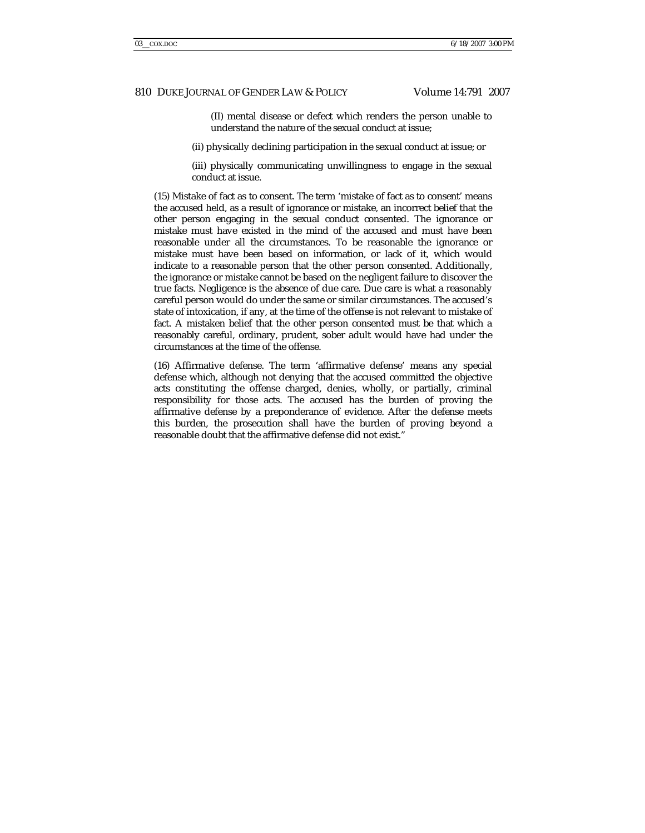(II) mental disease or defect which renders the person unable to understand the nature of the sexual conduct at issue;

(ii) physically declining participation in the sexual conduct at issue; or

(iii) physically communicating unwillingness to engage in the sexual conduct at issue.

(15) Mistake of fact as to consent. The term 'mistake of fact as to consent' means the accused held, as a result of ignorance or mistake, an incorrect belief that the other person engaging in the sexual conduct consented. The ignorance or mistake must have existed in the mind of the accused and must have been reasonable under all the circumstances. To be reasonable the ignorance or mistake must have been based on information, or lack of it, which would indicate to a reasonable person that the other person consented. Additionally, the ignorance or mistake cannot be based on the negligent failure to discover the true facts. Negligence is the absence of due care. Due care is what a reasonably careful person would do under the same or similar circumstances. The accused's state of intoxication, if any, at the time of the offense is not relevant to mistake of fact. A mistaken belief that the other person consented must be that which a reasonably careful, ordinary, prudent, sober adult would have had under the circumstances at the time of the offense.

(16) Affirmative defense. The term 'affirmative defense' means any special defense which, although not denying that the accused committed the objective acts constituting the offense charged, denies, wholly, or partially, criminal responsibility for those acts. The accused has the burden of proving the affirmative defense by a preponderance of evidence. After the defense meets this burden, the prosecution shall have the burden of proving beyond a reasonable doubt that the affirmative defense did not exist."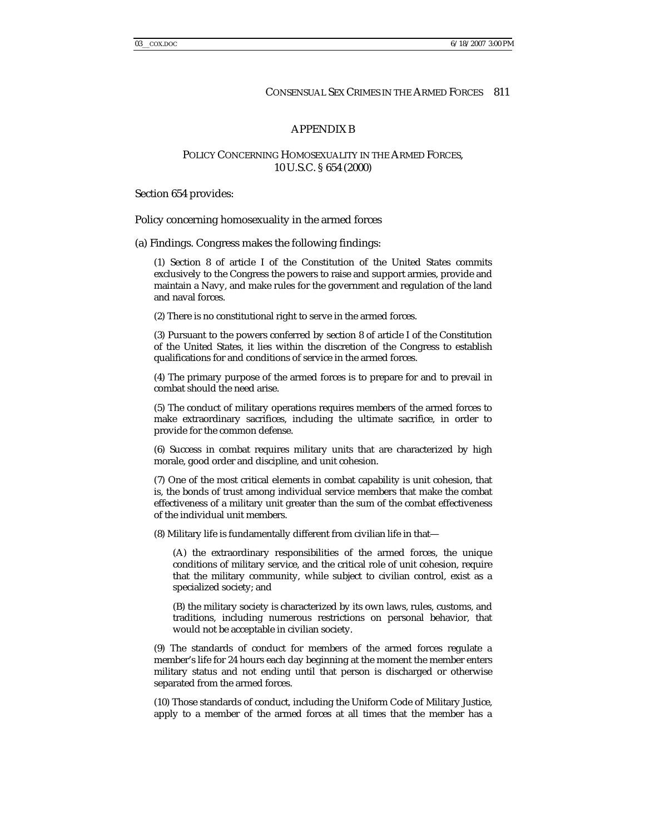#### APPENDIX B

## POLICY CONCERNING HOMOSEXUALITY IN THE ARMED FORCES, 10 U.S.C. § 654 (2000)

Section 654 provides:

Policy concerning homosexuality in the armed forces

(a) Findings. Congress makes the following findings:

(1) Section 8 of article I of the Constitution of the United States commits exclusively to the Congress the powers to raise and support armies, provide and maintain a Navy, and make rules for the government and regulation of the land and naval forces.

(2) There is no constitutional right to serve in the armed forces.

(3) Pursuant to the powers conferred by section 8 of article I of the Constitution of the United States, it lies within the discretion of the Congress to establish qualifications for and conditions of service in the armed forces.

(4) The primary purpose of the armed forces is to prepare for and to prevail in combat should the need arise.

(5) The conduct of military operations requires members of the armed forces to make extraordinary sacrifices, including the ultimate sacrifice, in order to provide for the common defense.

(6) Success in combat requires military units that are characterized by high morale, good order and discipline, and unit cohesion.

(7) One of the most critical elements in combat capability is unit cohesion, that is, the bonds of trust among individual service members that make the combat effectiveness of a military unit greater than the sum of the combat effectiveness of the individual unit members.

(8) Military life is fundamentally different from civilian life in that—

(A) the extraordinary responsibilities of the armed forces, the unique conditions of military service, and the critical role of unit cohesion, require that the military community, while subject to civilian control, exist as a specialized society; and

(B) the military society is characterized by its own laws, rules, customs, and traditions, including numerous restrictions on personal behavior, that would not be acceptable in civilian society.

(9) The standards of conduct for members of the armed forces regulate a member's life for 24 hours each day beginning at the moment the member enters military status and not ending until that person is discharged or otherwise separated from the armed forces.

(10) Those standards of conduct, including the Uniform Code of Military Justice, apply to a member of the armed forces at all times that the member has a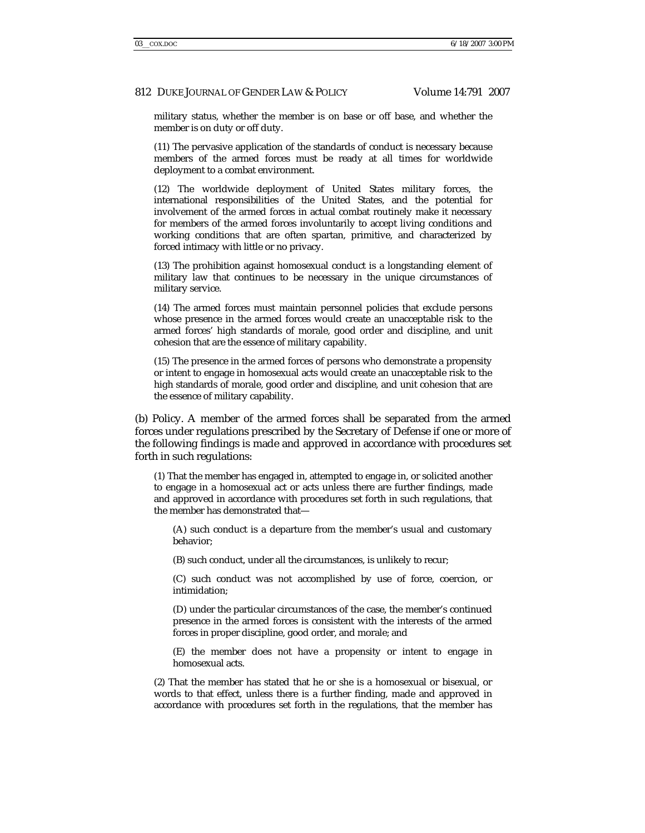military status, whether the member is on base or off base, and whether the member is on duty or off duty.

(11) The pervasive application of the standards of conduct is necessary because members of the armed forces must be ready at all times for worldwide deployment to a combat environment.

(12) The worldwide deployment of United States military forces, the international responsibilities of the United States, and the potential for involvement of the armed forces in actual combat routinely make it necessary for members of the armed forces involuntarily to accept living conditions and working conditions that are often spartan, primitive, and characterized by forced intimacy with little or no privacy.

(13) The prohibition against homosexual conduct is a longstanding element of military law that continues to be necessary in the unique circumstances of military service.

(14) The armed forces must maintain personnel policies that exclude persons whose presence in the armed forces would create an unacceptable risk to the armed forces' high standards of morale, good order and discipline, and unit cohesion that are the essence of military capability.

(15) The presence in the armed forces of persons who demonstrate a propensity or intent to engage in homosexual acts would create an unacceptable risk to the high standards of morale, good order and discipline, and unit cohesion that are the essence of military capability.

(b) Policy. A member of the armed forces shall be separated from the armed forces under regulations prescribed by the Secretary of Defense if one or more of the following findings is made and approved in accordance with procedures set forth in such regulations:

(1) That the member has engaged in, attempted to engage in, or solicited another to engage in a homosexual act or acts unless there are further findings, made and approved in accordance with procedures set forth in such regulations, that the member has demonstrated that—

(A) such conduct is a departure from the member's usual and customary behavior;

(B) such conduct, under all the circumstances, is unlikely to recur;

(C) such conduct was not accomplished by use of force, coercion, or intimidation;

(D) under the particular circumstances of the case, the member's continued presence in the armed forces is consistent with the interests of the armed forces in proper discipline, good order, and morale; and

(E) the member does not have a propensity or intent to engage in homosexual acts.

(2) That the member has stated that he or she is a homosexual or bisexual, or words to that effect, unless there is a further finding, made and approved in accordance with procedures set forth in the regulations, that the member has